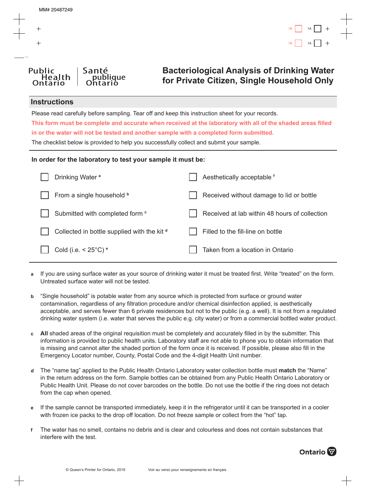

# **Bacteriological Analysis of Drinking Water for Private Citizen, Single Household Only**

#### **Instructions**

Public

Please read carefully before sampling. Tear off and keep this instruction sheet for your records.

**This form must be complete and accurate when received at the laboratory with all of the shaded areas filled in or the water will not be tested and another sample with a completed form submitted.**

The checklist below is provided to help you successfully collect and submit your sample.

#### **In order for the laboratory to test your sample it must be:**

| Drinking Water <sup>a</sup>                 | Aesthetically acceptable f                    |
|---------------------------------------------|-----------------------------------------------|
| From a single household <b>b</b>            | Received without damage to lid or bottle      |
| Submitted with completed form <sup>c</sup>  | Received at lab within 48 hours of collection |
| Collected in bottle supplied with the kit d | Filled to the fill-line on bottle             |
| Cold (i.e. $<$ 25 $^{\circ}$ C) $^{\circ}$  | Taken from a location in Ontario              |

- **a** If you are using surface water as your source of drinking water it must be treated first. Write "treated" on the form. Untreated surface water will not be tested.
- **b** "Single household" is potable water from any source which is protected from surface or ground water contamination, regardless of any filtration procedure and/or chemical disinfection applied, is aesthetically acceptable, and serves fewer than 6 private residences but not to the public (e.g. a well). It is not from a regulated drinking water system (i.e. water that serves the public e.g. city water) or from a commercial bottled water product.
- **c All** shaded areas of the original requisition must be completely and accurately filled in by the submitter. This information is provided to public health units. Laboratory staff are not able to phone you to obtain information that is missing and cannot alter the shaded portion of the form once it is received. If possible, please also fill in the Emergency Locator number, County, Postal Code and the 4-digit Health Unit number.
- **d** The "name tag" applied to the Public Health Ontario Laboratory water collection bottle must **match** the "Name" in the return address on the form. Sample bottles can be obtained from any Public Health Ontario Laboratory or Public Health Unit. Please do not cover barcodes on the bottle. Do not use the bottle if the ring does not detach from the cap when opened.
- **e** If the sample cannot be transported immediately, keep it in the refrigerator until it can be transported in a cooler with frozen ice packs to the drop off location. Do not freeze sample or collect from the "hot" tap.
- **f** The water has no smell, contains no debris and is clear and colourless and does not contain substances that interfere with the test.

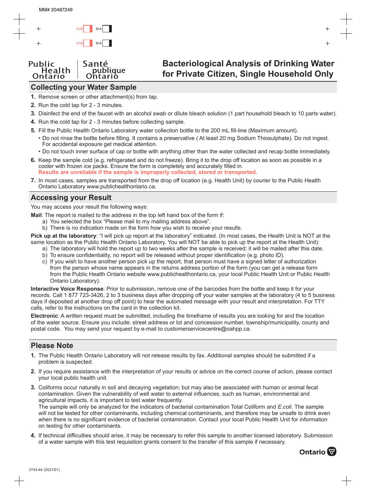# **Collecting your Water Sample**

- **1.** Remove screen or other attachment(s) from tap.
- **2.** Run the cold tap for 2 3 minutes.
- **3.** Disinfect the end of the faucet with an alcohol swab or dilute bleach solution (1 part household bleach to 10 parts water).
- **4.** Run the cold tap for 2 3 minutes before collecting sample.
- **5.** Fill the Public Health Ontario Laboratory water collection bottle to the 200 mL fill-line (Maximum amount).
	- Do not rinse the bottle before filling. It contains a preservative ( At least 20 mg Sodium Thiosulphate). Do not ingest. For accidental exposure get medical attention.
	- Do not touch inner surface of cap or bottle with anything other than the water collected and recap bottle immediately.
- **6.** Keep the sample cold (e.g. refrigerated and do not freeze). Bring it to the drop off location as soon as possible in a cooler with frozen ice packs. Ensure the form is completely and accurately filled in. **Results are unreliable if the sample is improperly collected, stored or transported.**
- **7.** In most cases, samples are transported from the drop off location (e.g. Health Unit) by courier to the Public Health Ontario Laboratory www.publichealthontario.ca.

# **Accessing your Result**

You may access your result the following ways:

**Mail**: The report is mailed to the address in the top left hand box of the form if:

- a) You selected the box "Please mail to my mailing address above".
- b) There is no indication made on the form how you wish to receive your results.

**Pick up at the laboratory**: "I will pick up report at the laboratory" indicated. (In most cases, the Health Unit is NOT at the same location as the Public Health Ontario Laboratory. You will NOT be able to pick up the report at the Health Unit):

- a) The laboratory will hold the report up to two weeks after the sample is received; it will be mailed after this date.
- b) To ensure confidentiality, no report will be released without proper identification (e.g. photo ID).
- c) If you wish to have another person pick up the report, that person must have a signed letter of authorization from the person whose name appears in the returns address portion of the form (you can get a release form from the Public Health Ontario website www.publichealthontario.ca, your local Public Health Unit or Public Health Ontario Laboratory).

**Interactive Voice Response**: Prior to submission, remove one of the barcodes from the bottle and keep it for your records. Call 1 877 723-3426, 2 to 3 business days after dropping off your water samples at the laboratory (4 to 5 business days if deposited at another drop off point) to hear the automated message with your result and interpretation. For TTY calls, refer to the instructions on the card in the collection kit.

**Electronic**: A written request must be submitted, including the timeframe of results you are looking for and the location of the water source. Ensure you include: street address or lot and concession number, township/municipality, county and postal code. You may send your request by e-mail to customerservicecentre@oahpp.ca.

# **Please Note**

- **1.** The Public Health Ontario Laboratory will not release results by fax. Additional samples should be submitted if a problem is suspected.
- **2.** If you require assistance with the interpretation of your results or advice on the correct course of action, please contact your local public health unit.
- **3.** Coliforms occur naturally in soil and decaying vegetation; but may also be associated with human or animal fecal contamination. Given the vulnerability of well water to external influences, such as human, environmental and agricultural impacts, it is important to test water frequently. The sample will only be analyzed for the indicators of bacterial contamination Total Coliform and *E.coli*. The sample will not be tested for other contaminants, including chemical contaminants, and therefore may be unsafe to drink even when there is no significant evidence of bacterial contamination. Contact your local Public Health Unit for information on testing for other contaminants.
- **4.** If technical difficulties should arise, it may be necessary to refer this sample to another licensed laboratory. Submission of a water sample with this test requisition grants consent to the transfer of this sample if necessary.

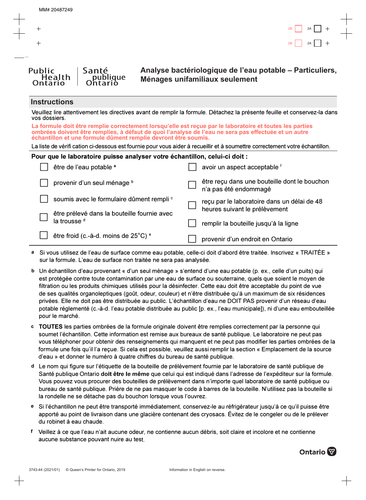#### **Instructions**

Ontario

Health

Santé

publique

Ontarió

Public

| Veuillez lire attentivement les directives avant de remplir la formule. Détachez la présente feuille et conservez-la dans<br>vos dossiers.                                                                                                                                         |                                                                       |  |  |
|------------------------------------------------------------------------------------------------------------------------------------------------------------------------------------------------------------------------------------------------------------------------------------|-----------------------------------------------------------------------|--|--|
| La formule doit être remplie correctement lorsqu'elle est reçue par le laboratoire et toutes les parties<br>ombrées doivent être remplies, à défaut de quoi l'analyse de l'eau ne sera pas effectuée et un autre<br>échantillon et une formule dûment remplie devront être soumis. |                                                                       |  |  |
| La liste de vérifi cation ci-dessous est fournie pour vous aider à recueillir et à soumettre correctement votre échantillon.                                                                                                                                                       |                                                                       |  |  |
| Pour que le laboratoire puisse analyser votre échantillon, celui-ci doit :                                                                                                                                                                                                         |                                                                       |  |  |
| être de l'eau potable a                                                                                                                                                                                                                                                            | avoir un aspect acceptable f                                          |  |  |
| provenir d'un seul ménage b                                                                                                                                                                                                                                                        | être reçu dans une bouteille dont le bouchon<br>n'a pas été endommagé |  |  |
| soumis avec le formulaire dûment rempli <sup>c</sup>                                                                                                                                                                                                                               | reçu par le laboratoire dans un délai de 48                           |  |  |
| être prélevé dans la bouteille fournie avec                                                                                                                                                                                                                                        | heures suivant le prélèvement                                         |  |  |
| la trousse <sup>d</sup>                                                                                                                                                                                                                                                            | remplir la bouteille jusqu'à la ligne                                 |  |  |
| être froid (c.-à-d. moins de 25°C) <sup>e</sup>                                                                                                                                                                                                                                    | provenir d'un endroit en Ontario                                      |  |  |

- a Si vous utilisez de l'eau de surface comme eau potable, celle-ci doit d'abord être traitée. Inscrivez « TRAITÉE » sur la formule. L'eau de surface non traitée ne sera pas analysée.
- b Un échantillon d'eau provenant « d'un seul ménage » s'entend d'une eau potable (p. ex., celle d'un puits) qui est protégée contre toute contamination par une eau de surface ou souterraine, quels que soient le moyen de filtration ou les produits chimiques utilisés pour la désinfecter. Cette eau doit être acceptable du point de vue de ses qualités organoleptiques (goût, odeur, couleur) et n'être distribuée qu'à un maximum de six résidences privées. Elle ne doit pas être distribuée au public. L'échantillon d'eau ne DOIT PAS provenir d'un réseau d'eau potable réglementé (c.-à-d. l'eau potable distribuée au public [p. ex., l'eau municipale]), ni d'une eau embouteillée pour le marché.
- **· TOUTES** les parties ombrées de la formule originale doivent être remplies correctement par la personne qui soumet l'échantillon. Cette information est remise aux bureaux de santé publique. Le laboratoire ne peut pas vous téléphoner pour obtenir des renseignements qui manquent et ne peut pas modifier les parties ombrées de la formule une fois qu'il l'a reçue. Si cela est possible, veuillez aussi remplir la section « Emplacement de la source d'eau » et donner le numéro à quatre chiffres du bureau de santé publique.
- <sup>d</sup> Le nom qui figure sur l'étiquette de la bouteille de prélèvement fournie par le laboratoire de santé publique de Santé publique Ontario **doit être Ie même** que celui qui est indiqué dans l'adresse de l'expéditeur sur la formule. Vous pouvez vous procurer des bouteilles de prélèvement dans n'importe quel laboratoire de santé publique ou bureau de santé publique. Prière de ne pas masquer le code à barres de la bouteille. N'utilisez pas la bouteille si la rondelle ne se détache pas du bouchon lorsque vous l'ouvrez.
- $\bullet$   $\,$  Si l'échantillon ne peut être transporté immédiatement, conservez-le au réfrigérateur jusqu'à ce qu'il puisse être apporté au point de livraison dans une glacière contenant des cryosacs. Évitez de le congeler ou de le prélever du robinet à eau chaude.
- f Veillez à ce que l'eau n'ait aucune odeur, ne contienne aucun débris, soit claire et incolore et ne contienne aucune substance pouvant nuire au test.

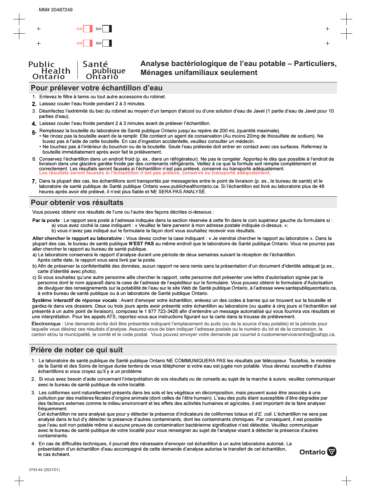## **Pour prélever votre échantillon d'eau**

- 1. Enlevez le filtre à tamis ou tout autre accessoire du robinet.
- **2.** Laissez couler l'eau froide pendant 2 à 3 minutes.
- 3. Désinfectez l'extrémité du bec du robinet au moyen d'un tampon d'alcool ou d'une solution d'eau de Javel (1 partie d'eau de Javel pour 10 parties d'eau).
- 4. Laissez couler l'eau froide pendant 2 à 3 minutes avant de prélever l'échantillon.
- **5.** Remplissez la bouteille du laboratoire de Santé publique Ontario jusqu'au repère de 200 mL (quantité maximale).
- Ne rincez pas la bouteille avant de la remplir. Elle contient un agent de conservation (Au moins 20mg de thiosulfate de sodium). Ne buvez pas à l'aide de cette bouteille. En cas d'ingestion accidentelle, veuillez consulter un médecin.
- $\bullet$  Ne touchez pas à l'intérieur du bouchon ou de la bouteille. Seule l'eau prélevée doit entrer en contact avec ces surfaces. Refermez la bouteille immédiatement après avoir fait le prélèvement.
- 6. Conservez l'échantillon dans un endroit froid (p. ex., dans un réfrigérateur). Ne pas le congeler. Apportez-le dès que possible à l'endroit de livraison dans une glacière gardée froide par des contenants réfrigérants. Veillez à ce que la formule soit remplie complètement et correctement. Les résultats seront faussés si l'échantillon n'est pas prélevé, conservé ou transporté adéquatement. **Les résultats seront faussés si l'échantillon n'est pas prélevé, conservé ou transporté adéquatement.**
- **7.** Dans la plupart des cas, les échantillons sont transportés par messageries entre le point de livraison (p. ex., le bureau de santé) et le laboratoire de santé publique de Santé publique Ontario www.publichealthontario.ca. Si l'échantillon est livré au laboratoire plus de 48 heures après avoir été prélevé, il n'est plus fiable et NE SERA PAS ANALYSE.

### **Pour obtenir vos résultats**

Vous pouvez obtenir vos résultats de l'une ou l'autre des façons décrites ci-dessous :

- P**ar la poste** : Le rapport sera posté à l'adresse indiquée dans la section réservée à cette fin dans le coin supérieur gauche du formulaire si : a) vous avez coché la case indiquant : « Veuillez le faire parvenir à mon adresse postale indiquée ci-dessus. »;
	- b) vous n'avez pas indiqué sur le formulaire la façon dont vous souhaitez recevoir vos résultats.

Aller chercher le rapport au laboratoire : Vous devez cocher la case indiquant : « Je viendrai chercher le rapport au laboratoire ». Dans la plupart des cas, le bureau de santé publique **N'EST PAS** au même endroit que le laboratoire de Santé publique Ontario. Vous ne pourrez pas aller chercher le rapport au bureau de santé publique.

- a) Le laboratoire conservera le rapport d'analyse durant une période de deux semaines suivant la réception de l'échantillon. Après cette date, le rapport vous sera livré par la poste.
- b) Afin de préserver la confidentialité des données, aucun rapport ne sera remis sans la présentation d'un document d'identité adéquat (p.ex., carte d'identité avec photo).
- c) Si vous souhaitez qu'une autre personne aille chercher le rapport, cette personne doit présenter une lettre d'autorisation signée par la personne dont le nom apparaît dans la case de l'adresse de l'expéditeur sur le formulaire. Vous pouvez obtenir le formulaire d'Autorisation de divulguer des renseignements sur la potabilité de l'eau sur le site Web de Santé publique Ontario, à l'adresse www.santepubliqueontario.ca, à votre bureau de santé publique ou à un laboratoire de Santé publique Ontario.

**Système interactif de réponse vocale** : Avant d'envoyer votre échantillon, enlevez un des codes à barres qui se trouvent sur la bouteille et gardez-le dans vos dossiers. Deux ou trois jours après avoir présenté votre échantillon au laboratoire (ou quatre à cinq jours si l'échantillon est présenté à un autre point de livraison), composez le 1 877 723-3426 afin d'entendre un message automatisé qui vous fournira vos résultats et une interprétation. Pour les appels ATS, reportez-vous aux instructions figurant sur la carte dans la trousse de prélèvement.

**Électronique** : Une demande écrite doit être présentée indiquant l'emplacement du puits (ou de la source d'eau potable) et la période pour laquelle vous désirez ces résultats d'analyse. Assurez-vous de bien indiquer l'adresse postale ou le numéro du lot et de la concession, le canton et/ou la municipalité, le comté et le code postal. Vous pouvez envoyer votre demande par courriel à customerservicecentre@oahpp.ca.

## **Prière de noter ce qui suit**

- 1. Le laboratoire de santé publique de Santé publique Ontario NE COMMUNIQUERA PAS les résultats par télécopieur. Toutefois, le ministère de la Santé et des Soins de longue durée tentera de vous téléphoner si votre eau est jugée non potable. Vous devriez soumettre d'autres échantillons si vous croyez qu'il y a un problème
- 2. Si vous avez besoin d'aide concernant l'interprétation de vos résultats ou de conseils au sujet de la marche à suivre, veuillez communiquer avec le bureau de santé publique de votre localité.
- 3. Les coliformes sont naturellement présents dans les sols et les végétaux en décomposition, mais peuvent aussi être associés à une pollution par des matières fécales d'origine animale (dont celles de l'être humain). L'eau des puits étant susceptible d'être dégradée par des facteurs externes comme le milieu environnant et les effets des activités humaines et agricoles, il est important de la faire analyser fréquemment.

Cet échantillon ne sera analysé que pour y détecter la présence d'indicateurs de coliformes totaux et d'*E. coli.* L'échantillon ne sera pas analysé dans le but d'y détecter la présence d'autres contaminants, dont les contaminants chimiques. Par conséquent, il est possible que l'eau soit non potable même si aucune preuve de contamination bactérienne significative n'est détectée. Veuillez communiquer avec le bureau de santé publique de votre localité pour vous renseigner au sujet de l'analyse visant à détecter la présence d'autres contaminants.

4. En cas de difficultés techniques, il pourrait être nécessaire d'envoyer cet échantillon à un autre laboratoire autorisé. La présentation d'un échantillon d'eau accompagné de cette demande d'analyse autorise le transfert de cet échantillon, le cas échéant.

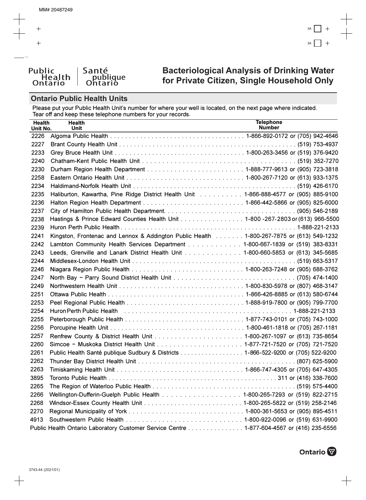# **Bacteriological Analysis of Drinking Water** for Private Citizen, Single Household Only

### **Ontario Public Health Units**

Public

Please put your Public Health Unit's number for where your well is located, on the next page where indicated.<br>Tear off and keep these telephone numbers for your records.

| <b>Health</b><br>Unit No. | <b>Health</b><br><b>Unit</b>                                                                                   | <b>Telephone</b><br><b>Number</b> |
|---------------------------|----------------------------------------------------------------------------------------------------------------|-----------------------------------|
| 2226                      |                                                                                                                |                                   |
| 2227                      |                                                                                                                |                                   |
| 2233                      |                                                                                                                |                                   |
| 2240                      |                                                                                                                |                                   |
| 2230                      |                                                                                                                |                                   |
| 2258                      |                                                                                                                |                                   |
| 2234                      |                                                                                                                |                                   |
| 2235                      | Haliburton, Kawartha, Pine Ridge District Health Unit 1-866-888-4577 or (905) 885-9100                         |                                   |
| 2236                      |                                                                                                                |                                   |
| 2237                      |                                                                                                                |                                   |
| 2238                      | Hastings & Prince Edward Counties Health Unit 1-800 -267-2803 or (613) 966-5500                                |                                   |
| 2239                      |                                                                                                                |                                   |
| 2241                      | Kingston, Frontenac and Lennox & Addington Public Health 1-800-267-7875 or (613) 549-1232                      |                                   |
| 2242                      | Lambton Community Health Services Department 1-800-667-1839 or (519) 383-8331                                  |                                   |
| 2243                      | Leeds, Grenville and Lanark District Health Unit 1-800-660-5853 or (613) 345-5685                              |                                   |
| 2244                      |                                                                                                                |                                   |
| 2246                      |                                                                                                                |                                   |
| 2247                      |                                                                                                                |                                   |
| 2249                      |                                                                                                                |                                   |
| 2251                      |                                                                                                                |                                   |
| 2253                      |                                                                                                                |                                   |
| 2254                      | Huron Perth Public Health (Alberts Alberts Alberts Alberts Alberts Alberts Alberts Alberts Alberts Alberts Alb |                                   |
| 2255                      |                                                                                                                |                                   |
| 2256                      |                                                                                                                |                                   |
| 2257                      |                                                                                                                |                                   |
| 2260                      |                                                                                                                |                                   |
| 2261                      | Public Health Santé publique Sudbury & Districts 1-866-522-9200 or (705) 522-9200                              |                                   |
| 2262                      |                                                                                                                |                                   |
| 2263                      |                                                                                                                |                                   |
| 3895                      |                                                                                                                |                                   |
| 2265                      |                                                                                                                |                                   |
| 2266                      | Wellington-Dufferin-Guelph Public Health 1-800-265-7293 or (519) 822-2715                                      |                                   |
| 2268                      |                                                                                                                |                                   |
| 2270                      |                                                                                                                |                                   |
| 4913                      |                                                                                                                |                                   |
|                           | Public Health Ontario Laboratory Customer Service Centre 1-877-604-4567 or (416) 235-6556                      |                                   |

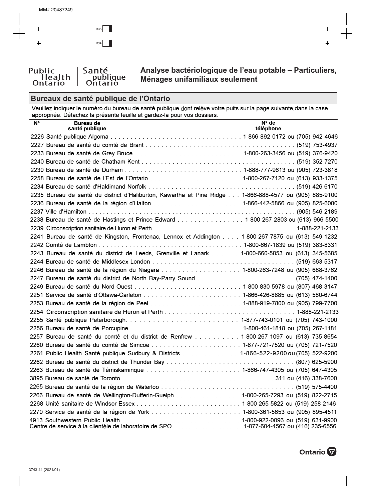# Bureaux de santé publique de l'Ontario

*candolique*<br>Ontario

Santé

Public

Health<br>Ontario

Veuillez indiquer le numéro du bureau de santé publique dont relève votre puits sur la page suivante, dans la case<br>appropriée. Détachez la présente feuille et gardez-la pour vos dossiers.

| $N^{\circ}$ | <b>Bureau de</b><br>santé publique | $N^{\circ}$ de<br>téléphone                                                                            |
|-------------|------------------------------------|--------------------------------------------------------------------------------------------------------|
|             |                                    |                                                                                                        |
|             |                                    |                                                                                                        |
|             |                                    |                                                                                                        |
|             |                                    |                                                                                                        |
|             |                                    |                                                                                                        |
|             |                                    |                                                                                                        |
|             |                                    |                                                                                                        |
|             |                                    | 2235 Bureau de santé du district d'Haliburton, Kawartha et Pine Ridge 1-866-888-4577 ou (905) 885-9100 |
|             |                                    |                                                                                                        |
|             |                                    |                                                                                                        |
|             |                                    | 2238 Bureau de santé de Hastings et Prince Edward 1-800-267-2803 ou (613) 966-5500                     |
|             |                                    |                                                                                                        |
|             |                                    | 2241 Bureau de santé de Kingston, Frontenac, Lennox et Addington 1-800-267-7875 ou (613) 549-1232      |
|             |                                    |                                                                                                        |
|             |                                    | 2243 Bureau de santé du district de Leeds, Grenville et Lanark 1-800-660-5853 ou (613) 345-5685        |
|             |                                    |                                                                                                        |
|             |                                    | 2246 Bureau de santé de la région du Niagara 1-800-263-7248 ou (905) 688-3762                          |
|             |                                    |                                                                                                        |
|             |                                    |                                                                                                        |
|             |                                    |                                                                                                        |
|             |                                    |                                                                                                        |
|             |                                    |                                                                                                        |
|             |                                    |                                                                                                        |
|             |                                    |                                                                                                        |
|             |                                    | 2257 Bureau de santé du comté et du district de Renfrew  1-800-267-1097 ou (613) 735-8654              |
|             |                                    |                                                                                                        |
|             |                                    | 2261 Public Health Santé publique Sudbury & Districts 1-866-522-9200 ou (705) 522-9200                 |
|             |                                    |                                                                                                        |
|             |                                    |                                                                                                        |
|             |                                    |                                                                                                        |
|             |                                    |                                                                                                        |
|             |                                    | 2266 Bureau de santé de Wellington-Dufferin-Guelph 1-800-265-7293 ou (519) 822-2715                    |
|             |                                    |                                                                                                        |
|             |                                    |                                                                                                        |
|             |                                    |                                                                                                        |

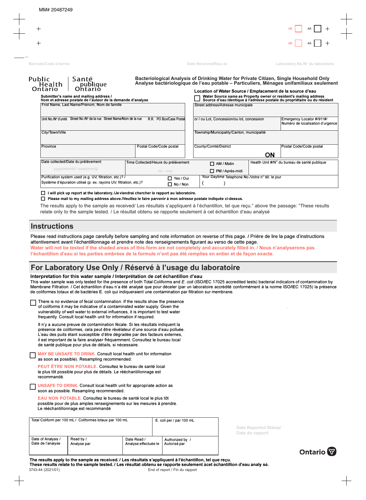| <b>Public</b><br>Health<br>Ontario | Santé<br>publique<br>Ontario                                                                         | Bacteriological Analysis of Drinking Water for Private Citizen, Single Household Only<br>Analyse bactériologique de l'eau potable - Particuliers, Ménages unifamiliaux seulement |                                                                                                                                                    |
|------------------------------------|------------------------------------------------------------------------------------------------------|----------------------------------------------------------------------------------------------------------------------------------------------------------------------------------|----------------------------------------------------------------------------------------------------------------------------------------------------|
|                                    |                                                                                                      |                                                                                                                                                                                  | Location of Water Source / Emplacement de la source d'eau                                                                                          |
|                                    | Submitter's name and mailing address /<br>Nom et adresse postale de l'auteur de la demande d'analyse |                                                                                                                                                                                  | ■ Water Source same as Property owner or resident's mailing address<br>■ Source d'eau identique à l'adresse postale du propriétaire ou du résident |

| First Name, Last Name/Prénom, Nom de famille                                                     |                                     | Street address/Adresse municipale                                 |                                                               |  |
|--------------------------------------------------------------------------------------------------|-------------------------------------|-------------------------------------------------------------------|---------------------------------------------------------------|--|
| Unit No./N° d'unité Street No./N° de la rue Street Name/Nom de la rue<br>R.R. PO Box/Case Postal |                                     | or / ou Lot, Concession/ou lot, concession                        | Emergency Locator #/911#/<br>Numéro de localisation d'urgence |  |
| City/Town/Ville                                                                                  |                                     | Township/Municipality/Canton, municipalité                        |                                                               |  |
| Province                                                                                         | Postal Code/Code postal             | County/Comté/District                                             | Postal Code/Code postal<br><b>ON</b>                          |  |
| Date collected/Date du prélèvement                                                               | Time Collected/Heure du prélèvement | Health Unit #/N° du bureau de santé publique<br>$\Box$ AM / Matin |                                                               |  |
| yyyy/mm/dd / aaaa/mm/jj                                                                          | hh:mm                               | □ PM / Après-midi                                                 |                                                               |  |
| Purification system used (e.g. UV, filtration, etc.)? /<br>$\Box$ Yes / Oui                      |                                     | Your Daytime Telephone No./Votre n° tél. le jour                  |                                                               |  |
| Système d'épuration utilisé (p. ex. rayons UV, filtration, etc.)?<br>$\Box$ No / Non             |                                     |                                                                   |                                                               |  |

#### $\Box$  I will pick up report at the laboratory. I Je viendrai chercher le rapport au laboratoire.

 $\Box$  Please mail to my mailing address above./Veuillez le faire parvenir à mon adresse postale indiquée ci-dessus.

The results apply to the sample as received/ Les résultats s'appliquent à l'échantillon, tel que reçu." above the passage: "These results relate only to the sample tested. / Le résultat obtenu se rapporte seulement à cet échantillon d'eau analysé

#### **Instructions**

Please read instructions page carefully before sampling and note information on reverse of this page. / Prière de lire la page d'instructions attentivement avant l'échantillonnage et prendre note des renseignements figurant au verso de cette page.

**Water will not be tested if the shaded areas of this form are not completely and accurately filled in. / Nous n'analyserons pas l'échantillon d'eau si les parties ombrées de la formule n'ont pas été remplies en entier et de façon exacte.**

### **For Laboratory Use Only / Réservé à l'usage du laboratoire**

#### Interpretation for this water sample / Interprétation de cet échantillon d'eau

This water sample was only tested for the presence of both Total Coliforms and *E. coli* (ISO/IEC 17025 accredited tests) bacterial indicators of contamination by Membrane Filtration. / Cet échantillon d'eau n'a été analysé que pour déceler (par un laboratoire accrédité conformément à la norme ISO/IEC 17025) la présence de coliformes totaux et de bactéries E. coli qui indiqueraient une contamination par filtration sur membrane.

There is no evidence of fecal contamination. If the results show the presence of coliforms it may be indicative of a contaminated water supply. Given the vulnerability of well water to external influences, it is important to test water frequently. Consult local health unit for information if required.

Il n'y a aucune preuve de contamination fécale. Si les résultats indiquent la présence de coliformes, cela peut être révélateur d'une source d'eau polluée. L'eau des puits étant susceptible d'être dégradée par des facteurs externes, il est important de la faire analyser fréquemment. Consultez le bureau local de santé publique pour plus de détails, si nécessaire.

de santé publique pour plus de détails, si nécessaire.<br> **COMPAIGE UNSAFE TO DRINK.** Consult local health unit for information as soon as possible). Resampling recommended.

PEUT ÊTRE NON POTABLE. Consultez le bureau de santé local le plus tôt possible pour plus de détails. Le rééchantillonnage est recommandé.

 $\Box$ **UNSAFE TO DRINK.** Consult local health unit for appropriate action as soon as possible. Resampling recommended.

EAU NON POTABLE. Consultez le bureau de santé local le plus tôt possible pour de plus amples renseignements sur les mesures à prendre. Le rééchantillonnage est recommandé

| Total Coliform per 100 mL / Coliformes totaux par 100 mL |                          | E. coli per / par 100 mL            |  | Date Reported Stamp/<br>Date du rapport |  |
|----------------------------------------------------------|--------------------------|-------------------------------------|--|-----------------------------------------|--|
| Date of Analysis /<br>Date de l'analyse                  | Read by /<br>Analyse par | Date Read /<br>Analyse effectuée le |  | Authorized by /<br>Autorisé par         |  |



The results apply to the sample as received. / Les résultats s'appliquent à l'échantillon, tel que reçu. These results relate to the sample tested. / Les résultat obtenu se rapporte seulement àcet échantillion d'eau analy sé. 3743-44 (2021/01) End of report / Fin du rapport